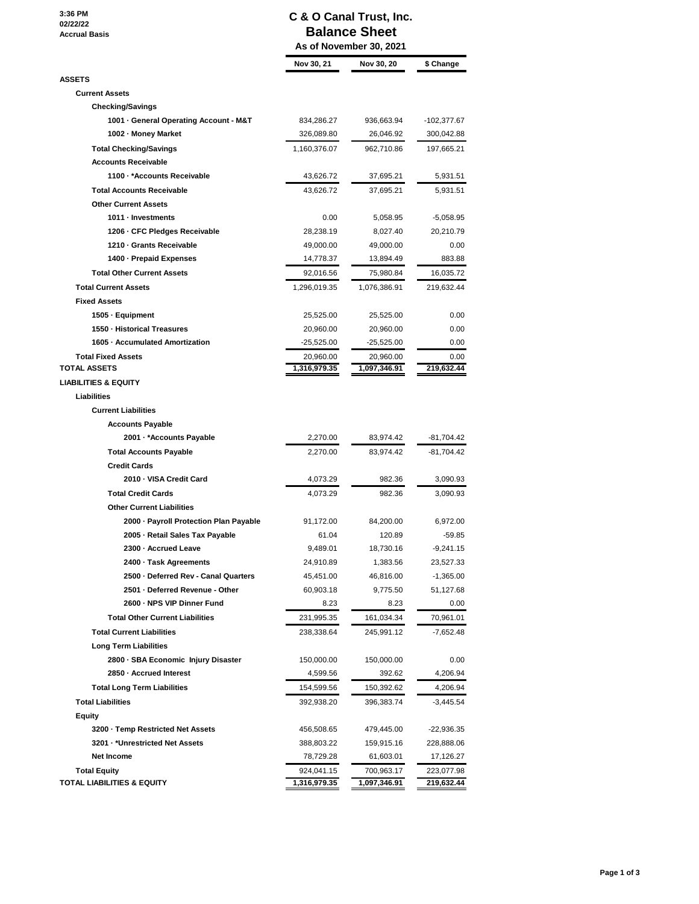**3:36 PM 02/22/22 Accrual Basis**

## **C & O Canal Trust, Inc. Balance Sheet**

|                                                  | As of November 30, 2021   |                           |                    |  |
|--------------------------------------------------|---------------------------|---------------------------|--------------------|--|
|                                                  | Nov 30, 21                | Nov 30, 20                | \$ Change          |  |
| <b>ASSETS</b>                                    |                           |                           |                    |  |
| <b>Current Assets</b>                            |                           |                           |                    |  |
| <b>Checking/Savings</b>                          |                           |                           |                    |  |
| 1001 - General Operating Account - M&T           | 834,286.27                | 936,663.94                | -102,377.67        |  |
| 1002 - Money Market                              | 326,089.80                | 26,046.92                 | 300,042.88         |  |
| <b>Total Checking/Savings</b>                    | 1,160,376.07              | 962,710.86                | 197,665.21         |  |
| <b>Accounts Receivable</b>                       |                           |                           |                    |  |
| 1100 · * Accounts Receivable                     | 43,626.72                 | 37,695.21                 | 5,931.51           |  |
| <b>Total Accounts Receivable</b>                 | 43,626.72                 | 37,695.21                 | 5,931.51           |  |
| <b>Other Current Assets</b>                      |                           |                           |                    |  |
| 1011 - Investments                               | 0.00                      | 5,058.95                  | $-5,058.95$        |  |
| 1206 - CFC Pledges Receivable                    | 28,238.19                 | 8,027.40                  | 20,210.79          |  |
| 1210 - Grants Receivable                         | 49,000.00                 | 49,000.00                 | 0.00               |  |
| 1400 - Prepaid Expenses                          | 14,778.37                 | 13,894.49                 | 883.88             |  |
| <b>Total Other Current Assets</b>                | 92,016.56                 | 75,980.84                 | 16,035.72          |  |
| <b>Total Current Assets</b>                      |                           | 1,076,386.91              | 219,632.44         |  |
| <b>Fixed Assets</b>                              | 1,296,019.35              |                           |                    |  |
|                                                  |                           |                           | 0.00               |  |
| 1505 · Equipment<br>1550 - Historical Treasures  | 25,525.00                 | 25,525.00                 |                    |  |
| 1605 - Accumulated Amortization                  | 20,960.00                 | 20,960.00                 | 0.00               |  |
|                                                  | -25,525.00                | -25,525.00                | 0.00               |  |
| <b>Total Fixed Assets</b><br><b>TOTAL ASSETS</b> | 20,960.00<br>1,316,979.35 | 20,960.00<br>1,097,346.91 | 0.00<br>219,632.44 |  |
| <b>LIABILITIES &amp; EQUITY</b>                  |                           |                           |                    |  |
| Liabilities                                      |                           |                           |                    |  |
| <b>Current Liabilities</b>                       |                           |                           |                    |  |
| <b>Accounts Payable</b>                          |                           |                           |                    |  |
| 2001 - *Accounts Payable                         | 2,270.00                  |                           | -81,704.42         |  |
|                                                  |                           | 83,974.42                 |                    |  |
| <b>Total Accounts Payable</b>                    | 2,270.00                  | 83,974.42                 | -81,704.42         |  |
| <b>Credit Cards</b>                              |                           |                           |                    |  |
| 2010 - VISA Credit Card                          | 4,073.29                  | 982.36                    | 3,090.93           |  |
| <b>Total Credit Cards</b>                        | 4,073.29                  | 982.36                    | 3,090.93           |  |
| <b>Other Current Liabilities</b>                 |                           |                           |                    |  |
| 2000 - Payroll Protection Plan Payable           | 91,172.00                 | 84,200.00                 | 6,972.00           |  |
| 2005 - Retail Sales Tax Payable                  | 61.04                     | 120.89                    | $-59.85$           |  |
| 2300 - Accrued Leave                             | 9,489.01                  | 18,730.16                 | -9,241.15          |  |
| 2400 · Task Agreements                           | 24,910.89                 | 1,383.56                  | 23,527.33          |  |
| 2500 - Deferred Rev - Canal Quarters             | 45,451.00                 | 46,816.00                 | $-1,365.00$        |  |
| 2501 - Deferred Revenue - Other                  | 60,903.18                 | 9,775.50                  | 51,127.68          |  |
| 2600 - NPS VIP Dinner Fund                       | 8.23                      | 8.23                      | 0.00               |  |
| <b>Total Other Current Liabilities</b>           | 231,995.35                | 161,034.34                | 70,961.01          |  |
| <b>Total Current Liabilities</b>                 | 238,338.64                | 245,991.12                | $-7,652.48$        |  |
| <b>Long Term Liabilities</b>                     |                           |                           |                    |  |
| 2800 · SBA Economic Injury Disaster              | 150,000.00                | 150,000.00                | 0.00               |  |
| 2850 - Accrued Interest                          | 4,599.56                  | 392.62                    | 4,206.94           |  |
| <b>Total Long Term Liabilities</b>               | 154,599.56                | 150,392.62                | 4,206.94           |  |
| <b>Total Liabilities</b>                         | 392,938.20                | 396,383.74                | $-3,445.54$        |  |
| Equity                                           |                           |                           |                    |  |
| 3200 - Temp Restricted Net Assets                | 456,508.65                | 479,445.00                | -22,936.35         |  |
| 3201 · *Unrestricted Net Assets                  | 388,803.22                | 159,915.16                | 228,888.06         |  |
| <b>Net Income</b>                                | 78,729.28                 | 61,603.01                 | 17,126.27          |  |
| <b>Total Equity</b>                              | 924,041.15                | 700,963.17                | 223,077.98         |  |
| TOTAL LIABILITIES & EQUITY                       | 1,316,979.35              | 1,097,346.91              | 219,632.44         |  |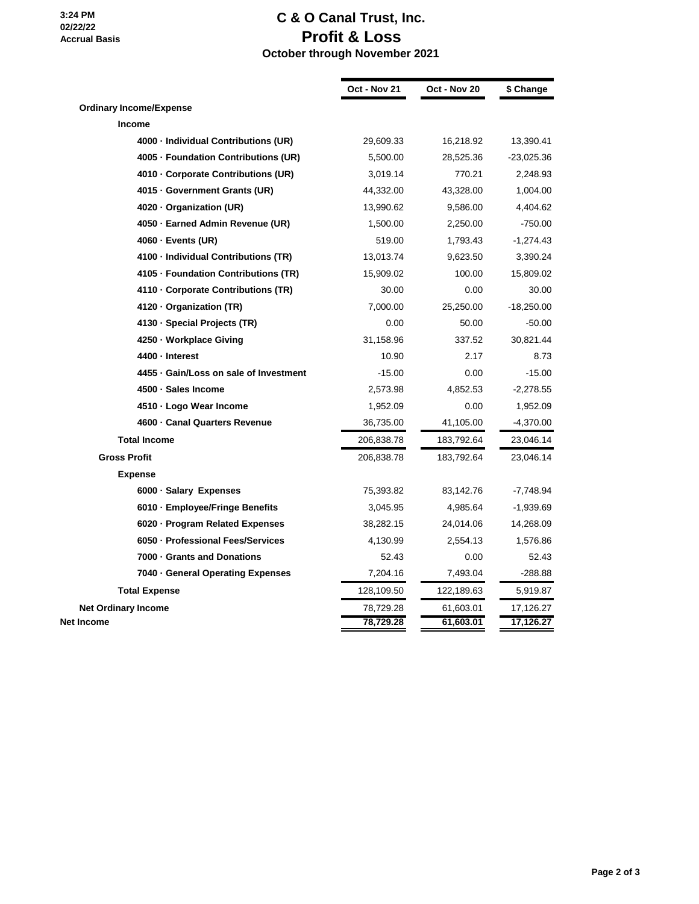## **C & O Canal Trust, Inc. Profit & Loss**

 **October through November 2021**

|                                        | Oct - Nov 21 | Oct - Nov 20 | \$ Change    |
|----------------------------------------|--------------|--------------|--------------|
| <b>Ordinary Income/Expense</b>         |              |              |              |
| <b>Income</b>                          |              |              |              |
| 4000 - Individual Contributions (UR)   | 29,609.33    | 16,218.92    | 13,390.41    |
| 4005 · Foundation Contributions (UR)   | 5,500.00     | 28,525.36    | $-23,025.36$ |
| 4010 - Corporate Contributions (UR)    | 3,019.14     | 770.21       | 2,248.93     |
| 4015 · Government Grants (UR)          | 44,332.00    | 43,328.00    | 1,004.00     |
| 4020 · Organization (UR)               | 13,990.62    | 9,586.00     | 4,404.62     |
| 4050 · Earned Admin Revenue (UR)       | 1,500.00     | 2,250.00     | $-750.00$    |
| 4060 · Events (UR)                     | 519.00       | 1,793.43     | $-1,274.43$  |
| 4100 - Individual Contributions (TR)   | 13,013.74    | 9,623.50     | 3,390.24     |
| 4105 - Foundation Contributions (TR)   | 15,909.02    | 100.00       | 15,809.02    |
| 4110 - Corporate Contributions (TR)    | 30.00        | 0.00         | 30.00        |
| 4120 Organization (TR)                 | 7,000.00     | 25,250.00    | $-18,250.00$ |
| 4130 · Special Projects (TR)           | 0.00         | 50.00        | $-50.00$     |
| 4250 · Workplace Giving                | 31,158.96    | 337.52       | 30,821.44    |
| 4400 · Interest                        | 10.90        | 2.17         | 8.73         |
| 4455 · Gain/Loss on sale of Investment | $-15.00$     | 0.00         | $-15.00$     |
| 4500 · Sales Income                    | 2,573.98     | 4,852.53     | $-2,278.55$  |
| 4510 - Logo Wear Income                | 1,952.09     | 0.00         | 1,952.09     |
| 4600 - Canal Quarters Revenue          | 36,735.00    | 41,105.00    | $-4,370.00$  |
| <b>Total Income</b>                    | 206,838.78   | 183,792.64   | 23,046.14    |
| <b>Gross Profit</b>                    | 206,838.78   | 183,792.64   | 23,046.14    |
| <b>Expense</b>                         |              |              |              |
| 6000 · Salary Expenses                 | 75,393.82    | 83,142.76    | $-7,748.94$  |
| 6010 · Employee/Fringe Benefits        | 3,045.95     | 4,985.64     | $-1,939.69$  |
| 6020 · Program Related Expenses        | 38,282.15    | 24,014.06    | 14,268.09    |
| 6050 - Professional Fees/Services      | 4,130.99     | 2,554.13     | 1,576.86     |
| 7000 Grants and Donations              | 52.43        | 0.00         | 52.43        |
| 7040 · General Operating Expenses      | 7,204.16     | 7,493.04     | $-288.88$    |
| <b>Total Expense</b>                   | 128,109.50   | 122,189.63   | 5,919.87     |
| <b>Net Ordinary Income</b>             | 78,729.28    | 61,603.01    | 17,126.27    |
| Net Income                             | 78,729.28    | 61,603.01    | 17,126.27    |